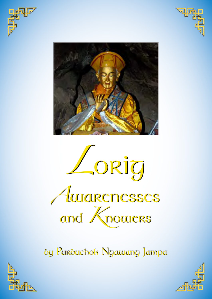







by Purbuchok Ngawang Jampa by Purbuchok Ngawang Jampa



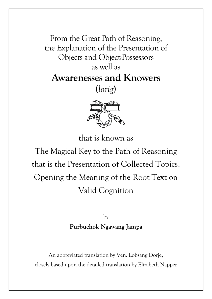From the Great Path of Reasoning, the Explanation of the Presentation of Objects and Object-Possessors as well as **Awarenesses and Knowers** (*lorig*)



that is known as

The Magical Key to the Path of Reasoning that is the Presentation of Collected Topics, Opening the Meaning of the Root Text on Valid Cognition

> by **Purbuchok Ngawang Jampa**

An abbreviated translation by Ven. Lobsang Dorje, closely based upon the detailed translation by Elizabeth Napper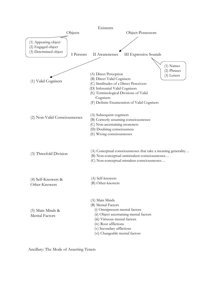

Ancillary: The Mode of Asserting Tenets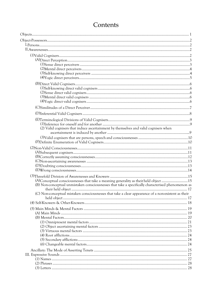| (2) Valid cognisers that induce ascertainment by themselves and valid cognisers when                                                                                                       |  |
|--------------------------------------------------------------------------------------------------------------------------------------------------------------------------------------------|--|
|                                                                                                                                                                                            |  |
|                                                                                                                                                                                            |  |
|                                                                                                                                                                                            |  |
|                                                                                                                                                                                            |  |
|                                                                                                                                                                                            |  |
|                                                                                                                                                                                            |  |
|                                                                                                                                                                                            |  |
|                                                                                                                                                                                            |  |
|                                                                                                                                                                                            |  |
| (A)Conceptual consciousnesses that take a meaning generality as their held object 15<br>(B) Non-conceptual unmistaken consciousnesses that take a specifically characterised phenomenon as |  |
|                                                                                                                                                                                            |  |
| (C) Non-conceptual mistaken consciousnesses that take a clear appearance of a non-existent as their                                                                                        |  |
|                                                                                                                                                                                            |  |
|                                                                                                                                                                                            |  |
|                                                                                                                                                                                            |  |
|                                                                                                                                                                                            |  |
|                                                                                                                                                                                            |  |
|                                                                                                                                                                                            |  |
|                                                                                                                                                                                            |  |
|                                                                                                                                                                                            |  |
|                                                                                                                                                                                            |  |
|                                                                                                                                                                                            |  |
|                                                                                                                                                                                            |  |
|                                                                                                                                                                                            |  |
|                                                                                                                                                                                            |  |
|                                                                                                                                                                                            |  |
|                                                                                                                                                                                            |  |

# Contents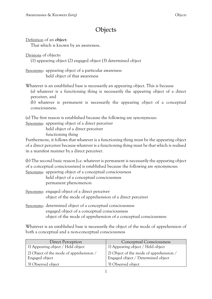# **Objects**

Definition of an **object**:

That which is known by an awareness.

Divisions of objects:

(1) appearing object (2) engaged object (3) determined object

Synonyms: appearing object of a particular awareness held object of that awareness

Whatever is an established base is necessarily an appearing object. This is because

(a) whatever is a functioning thing is necessarily the appearing object of a direct perceiver, and

(b) whatever is permanent is necessarily the appearing object of a conceptual consciousness.

(a) The first reason is established because the following are synonymous:

Synonyms: appearing object of a direct perceiver

held object of a direct perceiver

functioning thing

Furthermore, it follows that whatever is a functioning thing must be the appearing object of a direct perceiver because whatever is a functioning thing must be that which is realised in a manifest manner by a direct perceiver.

(b) The second basic reason [i.e. whatever is permanent is necessarily the appearing object of a conceptual consciousness] is established because the following are synonymous: Synonyms: appearing object of a conceptual consciousness

held object of a conceptual consciousness permanent phenomenon

Synonyms: engaged object of a direct perceiver object of the mode of apprehension of a direct perceiver

Synonyms: determined object of a conceptual consciousness engaged object of a conceptual consciousness object of the mode of apprehension of a conceptual consciousness

Whatever is an established base is necessarily the object of the mode of apprehension of both a conceptual and a non-conceptual consciousness

| Direct Perception                                         | Conceptual Consciousness                                                      |
|-----------------------------------------------------------|-------------------------------------------------------------------------------|
| 1) Appearing object / Held object                         | 1) Appearing object / Held object                                             |
| 2) Object of the mode of apprehension /<br>Engaged object | 2) Object of the mode of apprehension /<br>Engaged object / Determined object |
| 3) Observed object                                        | 3) Observed object                                                            |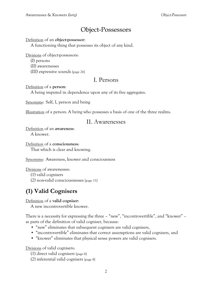# Object-Possessors

#### Definition of an **object-possessor**:

A functioning thing that possesses its object of any kind.

Divisions of object-possessors:

(I) persons

(II) awarenesses

(III) expressive sounds [page 26]

## I. Persons

Definition of a **person**:

A being imputed in dependence upon any of its five aggregates.

Synonyms: Self, I, person and being

Illustration of a person: A being who possesses a basis of one of the three realms.

### II. Awarenesses

Definition of an **awareness**: A knower.

Definition of a **consciousness**: That which is clear and knowing.

Synonyms: Awareness, knower and consciousness

Divisions of awarenesses:

(1) valid cognisers

(2) non-valid consciousnesses [page 11]

# **(1) Valid Cognisers**

Definition of a **valid cogniser**:

A new incontrovertible knower.

There is a necessity for expressing the three – "new", "incontrovertible", and "knower" – as parts of the definition of valid cogniser, because:

- "new" eliminates that subsequent cognisers are valid cognisers,
- "incontrovertible" eliminates that correct assumptions are valid cognisers, and
- "knower" eliminates that physical sense powers are valid cognisers.

Divisions of valid cognisers:

- (1) direct valid cognisers [page 6]
- (2) inferential valid cognisers [page 8]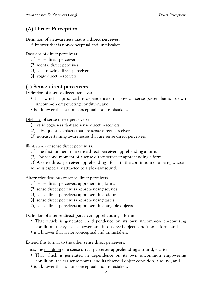# **(A) Direct Perception**

Definition of an awareness that is a **direct perceiver**:

A knower that is non-conceptual and unmistaken.

Divisions of direct perceivers:

- (1) sense direct perceiver
- (2) mental direct perceiver
- (3) self-knowing direct perceiver
- (4) yogic direct perceivers

### **(1) Sense direct perceivers**

Definition of a **sense direct perceiver**:

- That which is produced in dependence on a physical sense power that is its own uncommon empowering condition, and
- is a knower that is non-conceptual and unmistaken.

Divisions of sense direct perceivers:

(1) valid cognisers that are sense direct perceivers

- (2) subsequent cognisers that are sense direct perceivers
- (3) non-ascertaining awarenesses that are sense direct perceivers

Illustrations of sense direct perceivers:

- (1) The first moment of a sense direct perceiver apprehending a form.
- (2) The second moment of a sense direct perceiver apprehending a form.
- (3) A sense direct perceiver apprehending a form in the continuum of a being whose

mind is especially attracted to a pleasant sound.

Alternative divisions of sense direct perceivers:

- (1) sense direct perceivers apprehending forms
- (2) sense direct perceivers apprehending sounds
- (3) sense direct perceivers apprehending odours
- (4) sense direct perceivers apprehending tastes
- (5) sense direct perceivers apprehending tangible objects

Definition of a **sense direct perceiver apprehending a form**:

- That which is generated in dependence on its own uncommon empowering condition, the eye sense power, and its observed object condition, a form, and
- is a knower that is non-conceptual and unmistaken.

Extend this format to the other sense direct perceivers.

Thus, the definition of a **sense direct perceiver apprehending a sound**, etc. is:

- That which is generated in dependence on its own uncommon empowering condition, the ear sense power, and its observed object condition, a sound, and
- is a knower that is non-conceptual and unmistaken.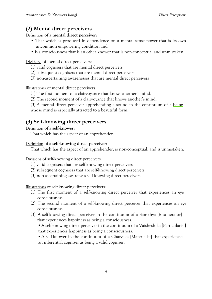# **(2) Mental direct perceivers**

Definition of a **mental direct perceiver**:

- That which is produced in dependence on a mental sense power that is its own uncommon empowering condition and
- is a consciousness that is an other knower that is non-conceptual and unmistaken.

Divisions of mental direct perceivers:

- (1) valid cognisers that are mental direct perceivers
- (2) subsequent cognisers that are mental direct perceivers
- (3) non-ascertaining awarenesses that are mental direct perceivers

Illustrations of mental direct perceivers:

(1) The first moment of a clairvoyance that knows another's mind.

(2) The second moment of a clairvoyance that knows another's mind.

(3) A mental direct perceiver apprehending a sound in the continuum of a being whose mind is especially attracted to a beautiful form.

# **(3) Self-knowing direct perceivers**

#### Definition of a **self-knower**:

That which has the aspect of an apprehender.

#### Definition of a **self-knowing direct perceiver**:

That which has the aspect of an apprehender, is non-conceptual, and is unmistaken.

Divisions of self-knowing direct perceivers:

- (1) valid cognisers that are self-knowing direct perceivers
- (2) subsequent cognisers that are self-knowing direct perceivers
- (3) non-ascertaining awareness self-knowing direct perceivers

Illustrations of self-knowing direct perceivers:

- (1) The first moment of a self-knowing direct perceiver that experiences an eye consciousness.
- (2) The second moment of a self-knowing direct perceiver that experiences an eye consciousness.
- (3) A self-knowing direct perceiver in the continuum of a Samkhya [Enumerator] that experiences happiness as being a consciousness.

 A self-knowing direct perceiver in the continuum of a Vaisheshika [Particularist] that experiences happiness as being a consciousness.

• A self-knower in the continuum of a Charvaka [Materialist] that experiences an inferential cogniser as being a valid cogniser.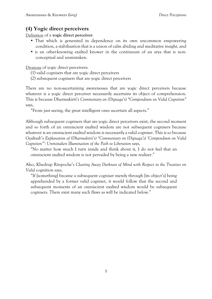## **(4) Yogic direct perceivers**

Definition of a **yogic direct perceiver**:

- That which is generated in dependence on its own uncommon empowering condition, a stabilisation that is a union of calm abiding and meditative insight, and
- is an other-knowing exalted knower in the continuum of an arya that is nonconceptual and unmistaken.

Divisions of yogic direct perceivers:

- (1) valid cognisers that are yogic direct perceivers
- (2) subsequent cognisers that are yogic direct perceivers

There are no non-ascertaining awarenesses that are yogic direct perceivers because whatever is a yogic direct perceiver necessarily ascertains its object of comprehension. This is because Dharmakirti's *Commentary on (Dignaga's) "Compendium on Valid Cognition"* says,

"From just seeing, the great intelligent ones ascertain all aspects."

Although subsequent cognisers that are yogic direct perceivers exist, the second moment and so forth of an omniscient exalted wisdom are not subsequent cognisers because whatever is an omniscient exalted wisdom is necessarily a valid cogniser. This is so because Gyaltsab's *Explanation of (Dharmakirti's) "Commentary on (Dignaga's) 'Compendium on Valid Cognition'": Unmistaken Illumination of the Path to Liberation* says,

"No matter how much I turn inside and think about it, I do not feel that an omniscient exalted wisdom is not pervaded by being a new realiser."

Also, Khedrup Rinpoche's *Clearing Away Darkness of Mind with Respect to the Treatises on Valid* cognition says,

"If [something] became a subsequent cogniser merely through [its object's] being apprehended by a former valid cogniser, it would follow that the second and subsequent moments of an omniscient exalted wisdom would be subsequent cognisers. There exist many such flaws as will be indicated below."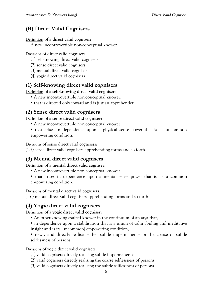## **(B) Direct Valid Cognisers**

#### Definition of a **direct valid cogniser**:

A new incontrovertible non-conceptual knower.

Divisions of direct valid cognisers:

- (1) self-knowing direct valid cognisers
- (2) sense direct valid cognisers
- (3) mental direct valid cognisers
- (4) yogic direct valid cognisers

### **(1) Self-knowing direct valid cognisers**

Definition of a **self-knowing direct valid cogniser**:

- A new incontrovertible non-conceptual knower,
- that is directed only inward and is just an apprehender.

### **(2) Sense direct valid cognisers**

Definition of a **sense direct valid cogniser**:

- A new incontrovertible non-conceptual knower,
- that arises in dependence upon a physical sense power that is its uncommon empowering condition.

Divisions of sense direct valid cognisers:

(1-5) sense direct valid cognisers apprehending forms and so forth.

## **(3) Mental direct valid cognisers**

Definition of a **mental direct valid cogniser**:

- A new incontrovertible non-conceptual knower,
- that arises in dependence upon a mental sense power that is its uncommon empowering condition.

Divisions of mental direct valid cognisers:

(1-6) mental direct valid cognisers apprehending forms and so forth.

### **(4) Yogic direct valid cognisers**

Definition of a **yogic direct valid cogniser**:

- An other-knowing exalted knower in the continuum of an arya that,
- in dependence upon a stabilisation that is a union of calm abiding and meditative insight and is its [uncommon] empowering condition,
- newly and directly realises either subtle impermanence or the coarse or subtle selflessness of persons.

Divisions of yogic direct valid cognisers:

- (1) valid cognisers directly realising subtle impermanence
- (2) valid cognisers directly realising the coarse selflessness of persons
- (3) valid cognisers directly realising the subtle selflessness of persons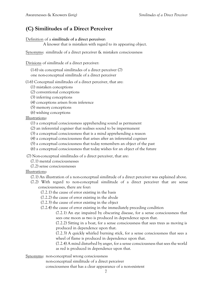## **(C) Similitudes of a Direct Perceiver**

Definition of a **similitude of a direct perceiver**:

A knower that is mistaken with regard to its appearing object.

Synonyms: similitude of a direct perceiver & mistaken consciousness

Divisions of similitude of a direct perceiver:

(1-6) six conceptual similitudes of a direct perceiver (7) one non-conceptual similitude of a direct perceiver

(1-6) Conceptual similitudes of a direct perceiver, that are:

- (1) mistaken conceptions
- (2) conventional conceptions
- (3) inferring conceptions
- (4) conceptions arisen from inference
- (5) memory conceptions
- (6) wishing conceptions

#### Illustrations:

- (1) a conceptual consciousness apprehending sound as permanent
- (2) an inferential cogniser that realises sound to be impermanent
- (3) a conceptual consciousness that is a mind apprehending a reason
- (4) a conceptual consciousness that arises after an inferential cogniser
- (5) a conceptual consciousness that today remembers an object of the past
- (6) a conceptual consciousness that today wishes for an object of the future

(7) Non-conceptual similitudes of a direct perceiver, that are:

- (7.1) mental consciousnesses
- (7.2) sense consciousnesses

Illustrations:

- (7.1) An illustration of a non-conceptual similitude of a direct perceiver was explained above.
- (7.2) With regard to non-conceptual similitude of a direct perceiver that are sense consciousnesses, there are four:
	- (7.2.1) the cause of error existing in the basis
	- (7.2.2) the cause of error existing in the abode
	- (7.2.3) the cause of error existing in the object
	- (7.2.4) the cause of error existing in the immediately preceding condition

(7.2.1) An eye impaired by obscuring disease, for a sense consciousness that sees one moon as two is produced in dependence upon that.

(7.2.2) Sitting in a boat, for a sense consciousness that sees trees as moving is produced in dependence upon that.

(7.2.3) A quickly whirled burning stick, for a sense consciousness that sees a wheel of flame is produced in dependence upon that.

(7.2.4) A mind disturbed by anger, for a sense consciousness that sees the world as red is produced in dependence upon that.

Synonyms: non-conceptual wrong consciousness

non-conceptual similitude of a direct perceiver

consciousness that has a clear appearance of a non-existent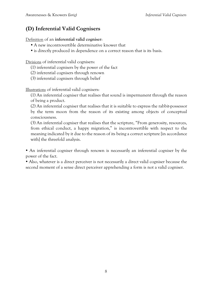# **(D) Inferential Valid Cognisers**

Definition of an **inferential valid cogniser**:

- A new incontrovertible determinative knower that
- is directly produced in dependence on a correct reason that is its basis.

Divisions of inferential valid cognisers:

- (1) inferential cognisers by the power of the fact
- (2) inferential cognisers through renown
- (3) inferential cognisers through belief

Illustrations of inferential valid cognisers:

(1) An inferential cogniser that realises that sound is impermanent through the reason of being a product.

(2) An inferential cogniser that realises that it is suitable to express the rabbit-possessor by the term moon from the reason of its existing among objects of conceptual consciousness.

(3) An inferential cogniser that realises that the scripture, "From generosity, resources, from ethical conduct, a happy migration," is incontrovertible with respect to the meaning indicated by it due to the reason of its being a correct scripture [in accordance with] the threefold analysis.

 An inferential cogniser through renown is necessarily an inferential cogniser by the power of the fact.

 Also, whatever is a direct perceiver is not necessarily a direct valid cogniser because the second moment of a sense direct perceiver apprehending a form is not a valid cogniser.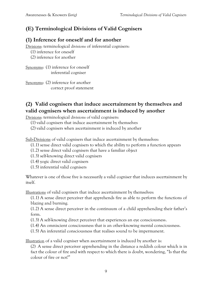## **(E) Terminological Divisions of Valid Cognisers**

### **(1) Inference for oneself and for another**

Divisions: terminological divisions of inferential cognisers:

(1) inference for oneself

(2) inference for another

Synonyms: (1) inference for oneself inferential cogniser

Synonyms: (2) inference for another correct proof statement

## **(2) Valid cognisers that induce ascertainment by themselves and valid cognisers when ascertainment is induced by another**

Divisions: terminological divisions of valid cognisers:

- (1) valid cognisers that induce ascertainment by themselves
- (2) valid cognisers when ascertainment is induced by another

Sub-Divisions of valid cognisers that induce ascertainment by themselves:

- (1.1) sense direct valid cognisers to which the ability to perform a function appears
- (1.2) sense direct valid cognisers that have a familiar object
- (1.3) self-knowing direct valid cognisers
- (1.4) yogic direct valid cognisers
- (1.5) inferential valid cognisers

Whatever is one of those five is necessarily a valid cogniser that induces ascertainment by itself.

Illustrations of valid cognisers that induce ascertainment by themselves:

(1.1) A sense direct perceiver that apprehends fire as able to perform the functions of blazing and burning.

(1.2) A sense direct perceiver in the continuum of a child apprehending their father's form.

(1.3) A self-knowing direct perceiver that experiences an eye consciousness.

(1.4) An omniscient consciousness that is an other-knowing mental consciousness.

(1.5) An inferential consciousness that realises sound to be impermanent.

Illustration of a valid cogniser when ascertainment is induced by another is:

(2) A sense direct perceiver apprehending in the distance a reddish colour which is in fact the colour of fire and with respect to which there is doubt, wondering, "Is that the colour of fire or not?"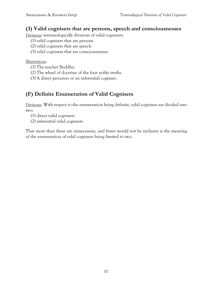### **(3) Valid cognisers that are persons, speech and consciousnesses**

Divisions: terminologically divisions of valid cognisers:

- (1) valid cognisers that are persons
- (2) valid cognisers that are speech
- (3) valid cognisers that are consciousnesses

Illustrations:

- (1) The teacher Buddha.
- (2) The wheel of doctrine of the four noble truths.
- (3) A direct perceiver or an inferential cogniser.

# **(F) Definite Enumeration of Valid Cognisers**

Divisions: With respect to the enumeration being definite, valid cognisers are divided into two:

- (1) direct valid cognisers
- (2) inferential valid cognisers

That more than these are unnecessary, and fewer would not be inclusive is the meaning of the enumeration of valid cognisers being limited to two.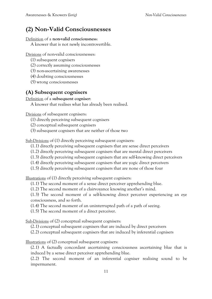# **(2) Non-Valid Consciousnesses**

#### Definition of a **non-valid consciousness**:

A knower that is not newly incontrovertible.

Divisions of non-valid consciousnesses:

- (1) subsequent cognisers
- (2) correctly assuming consciousnesses
- (3) non-ascertaining awarenesses
- (4) doubting consciousnesses
- (5) wrong consciousnesses

## **(A) Subsequent cognisers**

Definition of a **subsequent cogniser**:

A knower that realises what has already been realised.

Divisions of subsequent cognisers:

- (1) directly perceiving subsequent cognisers
- (2) conceptual subsequent cognisers
- (3) subsequent cognisers that are neither of those two

Sub-Divisions of (1) directly perceiving subsequent cognisers:

- (1.1) directly perceiving subsequent cognisers that are sense direct perceivers
- (1.2) directly perceiving subsequent cognisers that are mental direct perceivers
- (1.3) directly perceiving subsequent cognisers that are self-knowing direct perceivers
- (1.4) directly perceiving subsequent cognisers that are yogic direct perceivers
- (1.5) directly perceiving subsequent cognisers that are none of those four

Illustrations of (1) directly perceiving subsequent cognisers:

- (1.1) The second moment of a sense direct perceiver apprehending blue.
- (1.2) The second moment of a clairvoyance knowing another's mind.

(1.3) The second moment of a self-knowing direct perceiver experiencing an eye consciousness, and so forth.

- (1.4) The second moment of an uninterrupted path of a path of seeing.
- (1.5) The second moment of a direct perceiver.

Sub-Divisions of (2) conceptual subsequent cognisers:

(2.1) conceptual subsequent cognisers that are induced by direct perceivers

(2.2) conceptual subsequent cognisers that are induced by inferential cognisers

Illustrations of (2) conceptual subsequent cognisers:

(2.1) A factually concordant ascertaining consciousness ascertaining blue that is induced by a sense direct perceiver apprehending blue.

(2.2) The second moment of an inferential cogniser realising sound to be impermanent.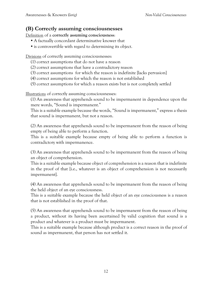### **(B) Correctly assuming consciousnesses**

Definition of a **correctly assuming consciousness**:

- A factually concordant determinative knower that
- is controvertible with regard to determining its object.

Divisions of correctly assuming consciousnesses:

- (1) correct assumptions that do not have a reason
- (2) correct assumptions that have a contradictory reason
- (3) correct assumptions for which the reason is indefinite [lacks pervasion]
- (4) correct assumptions for which the reason is not established
- (5) correct assumptions for which a reason exists but is not completely settled

Illustrations of correctly assuming consciousnesses:

(1) An awareness that apprehends sound to be impermanent in dependence upon the mere words, "Sound is impermanent."

This is a suitable example because the words, "Sound is impermanent," express a thesis that sound is impermanent, but not a reason.

(2) An awareness that apprehends sound to be impermanent from the reason of being empty of being able to perform a function.

This is a suitable example because empty of being able to perform a function is contradictory with impermanence.

(3) An awareness that apprehends sound to be impermanent from the reason of being an object of comprehension.

This is a suitable example because object of comprehension is a reason that is indefinite in the proof of that [i.e., whatever is an object of comprehension is not necessarily impermanent].

(4) An awareness that apprehends sound to be impermanent from the reason of being the held object of an eye consciousness.

This is a suitable example because the held object of an eye consciousness is a reason that is not established in the proof of that.

(5) An awareness that apprehends sound to be impermanent from the reason of being a product, without its having been ascertained by valid cognition that sound is a product and whatever is a product must be impermanent.

This is a suitable example because although product is a correct reason in the proof of sound as impermanent, that person has not settled it.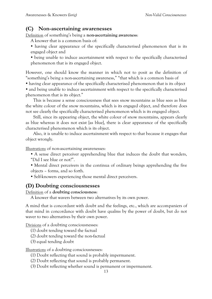### **(C) Non-ascertaining awarenesses**

Definition of something's being a **non-ascertaining awareness**:

A knower that is a common basis of:

 having clear appearance of the specifically characterised phenomenon that is its engaged object and

 being unable to induce ascertainment with respect to the specifically characterised phenomenon that is its engaged object.

However, one should know the manner in which not to posit as the definition of "something's being a non-ascertaining awareness," "that which is a common basis of

- having clear appearance of the specifically characterised phenomenon that is its object
- and being unable to induce ascertainment with respect to the specifically characterised phenomenon that is its object."

This is because a sense consciousness that sees snow mountains as blue sees as blue the white colour of the snow mountains, which is its engaged object, and therefore does not see clearly the specifically characterised phenomenon which is its engaged object.

Still, since its appearing object, the white colour of snow mountains, appears clearly as blue whereas it does not exist [as blue], there is clear appearance of the specifically characterised phenomenon which is its object.

Also, it is unable to induce ascertainment with respect to that because it engages that object wrongly.

Illustrations of non-ascertaining awarenesses:

- A sense direct perceiver apprehending blue that induces the doubt that wonders, "Did I see blue or not?".
- Mental direct perceivers in the continua of ordinary beings apprehending the five objects – forms, and so forth.
- Self-knowers experiencing those mental direct perceivers.

### **(D) Doubting consciousnesses**

Definition of a **doubting consciousness**:

A knower that wavers between two alternatives by its own power.

A mind that is concordant with doubt and the feelings, etc., which are accompaniers of that mind in concordance with doubt have qualms by the power of doubt, but do not waver to two alternatives by their own power.

Divisions of a doubting consciousnesses:

- (1) doubt tending toward the factual
- (2) doubt tending toward the non-factual
- (3) equal tending doubt

Illustrations of a doubting consciousnesses:

- (1) Doubt reflecting that sound is probably impermanent.
- (2) Doubt reflecting that sound is probably permanent.
- (3) Doubt reflecting whether sound is permanent or impermanent.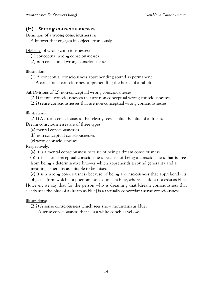### **(E) Wrong consciousnesses**

Definition of a **wrong consciousness** is:

A knower that engages its object erroneously.

Divisions of wrong consciousnesses:

(1) conceptual wrong consciousnesses

(2) non-conceptual wrong consciousnesses

Illustration:

(1) A conceptual consciousness apprehending sound as permanent.

A conceptual consciousness apprehending the horns of a rabbit.

Sub-Divisions of (2) non-conceptual wrong consciousnesses:

(2.1) mental consciousnesses that are non-conceptual wrong consciousnesses

(2.2) sense consciousnesses that are non-conceptual wrong consciousnesses

Illustrations:

(2.1) A dream consciousness that clearly sees as blue the blue of a dream.

Dream consciousnesses are of three types:

(a) mental consciousnesses

(b) non-conceptual consciousnesses

(c) wrong consciousnesses

Respectively,

(a) It is a mental consciousness because of being a dream consciousness.

(b) It is a non-conceptual consciousness because of being a consciousness that is free from being a determinative knower which apprehends a sound generality and a meaning generality as suitable to be mixed.

(c) It is a wrong consciousness because of being a consciousness that apprehends its object, a form which is a phenomenon-source, as blue, whereas it does not exist as blue. However, we say that for the person who is dreaming that [dream consciousness that clearly sees the blue of a dream as blue] is a factually concordant sense consciousness.

#### Illustrations:

(2.2) A sense consciousness which sees snow mountains as blue.

A sense consciousness that sees a white conch as yellow.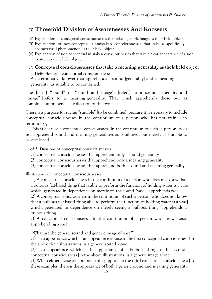## (3) **Threefold Division of Awarenesses And Knowers**

- (4) Explanation of conceptual consciousnesses that take a generic image as their held object.
- (5) Explanation of non-conceptual unmistaken consciousnesses that take a specifically characterised phenomenon as their held object.
- (6) Explanation of non-conceptual mistaken consciousnesses that take a clear appearance of a nonexistent as their held object.

#### (7) **Conceptual consciousnesses that take a meaning generality as their held object** Definition of a **conceptual consciousness**:

A determinative knower that apprehends a sound [generality] and a meaning generality] as suitable to be combined.

The [term] "sound" of "sound and image", [refers] to a sound generality and "image" [refers] to a meaning generality. That which apprehends those two as combined apprehends a collection of the two.

There is a purpose for saying "suitable" [to be combined] because it is necessary to include conceptual consciousnesses in the continuum of a person who has not trained in terminology.

This is because a conceptual consciousness in the continuum of such [a person] does not apprehend sound and meaning generalities as combined, but merely as suitable to be combined.

[**1 of 3**] Divisions of conceptual consciousnesses:

- (1) conceptual consciousnesses that apprehend only a sound generality
- (2) conceptual consciousnesses that apprehend only a meaning generality
- (3) conceptual consciousnesses that apprehend both a sound and meaning generality

Illustrations of conceptual consciousnesses:

(1) A conceptual consciousness in the continuum of a person who does not know that a bulbous flat-based thing that is able to perform the function of holding water is a vase which, generated in dependence on merely on the sound "vase", apprehends vase.

(2) A conceptual consciousness in the continuum of such a person [who does not know that a bulbous flat-based thing able to perform the function of holding water is a vase] which, generated in dependence on merely seeing a bulbous thing, apprehends a bulbous thing.

(3) A conceptual consciousness, in the continuum of a person who knows vase, apprehending a vase.

"What are the generic sound and generic image of vase?"

(1) That appearance which is an appearance as vase to the first conceptual consciousness [in the above three illustrations] is a generic sound alone.

(2) That appearance which is the appearance of a bulbous thing to the second conceptual consciousness [in the above illustrations] is a generic image alone.

(3) When either a vase or a bulbous thing appears to the third conceptual consciousness [in these examples] there is the appearance of both a generic sound and meaning generality.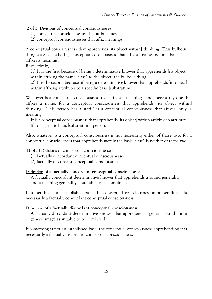[**2 of 3**] Divisions of conceptual consciousnesses:

- (1) conceptual consciousnesses that affix names
- (2) conceptual consciousnesses that affix meanings

A conceptual consciousness that apprehends [its object within] thinking "This bulbous thing is a vase," is both [a conceptual consciousness that affixes a name and one that affixes a meaning].

Respectively,

(1) It is the first because of being a determinative knower that apprehends [its object] within affixing the name "vase" to the object [the bulbous thing];

(2) It is the second because of being a determinative knower that apprehends [its object] within affixing attributes to a specific basis [substratum].

Whatever is a conceptual consciousness that affixes a meaning is not necessarily one that affixes a name, for a conceptual consciousness that apprehends [its object within] thinking, "This person has a staff," is a conceptual consciousness that affixes [only] a meaning.

It is a conceptual consciousness that apprehends [its object] within affixing an attribute – staff, to a specific basis [substratum], person.

Also, whatever is a conceptual consciousness is not necessarily either of those two, for a conceptual consciousness that apprehends merely the basis "vase" is neither of those two.

[**3 of 3**] Divisions of conceptual consciousnesses:

- (1) factually concordant conceptual consciousnesses
- (2) factually discordant conceptual consciousnesses

#### Definition of a **factually concordant conceptual consciousness**:

A factually concordant determinative knower that apprehends a sound generality and a meaning generality as suitable to be combined.

If something is an established base, the conceptual consciousness apprehending it is necessarily a factually concordant conceptual consciousness.

#### Definition of a **factually discordant conceptual consciousness**:

A factually discordant determinative knower that apprehends a generic sound and a generic image as suitable to be combined.

If something is not an established base, the conceptual consciousness apprehending it is necessarily a factually discordant conceptual consciousness.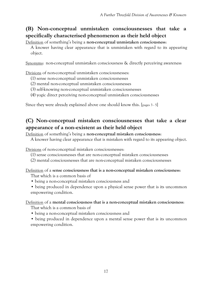# **(B) Non-conceptual unmistaken consciousnesses that take a specifically characterised phenomenon as their held object**

Definition of something's being a **non-conceptual unmistaken consciousness**:

A knower having clear appearance that is unmistaken with regard to its appearing object.

Synonyms: non-conceptual unmistaken consciousness & directly perceiving awareness

Divisions of non-conceptual unmistaken consciousnesses:

- (1) sense non-conceptual unmistaken consciousnesses
- (2) mental non-conceptual unmistaken consciousnesses
- (3) self-knowing non-conceptual unmistaken consciousnesses
- (4) yogic direct perceiving non-conceptual unmistaken consciousnesses

Since they were already explained above one should know this. [pages 3 - 5]

## **(C) Non-conceptual mistaken consciousnesses that take a clear appearance of a non-existent as their held object**

Definition of something's being a **non-conceptual mistaken consciousness**:

A knower having clear appearance that is mistaken with regard to its appearing object.

Divisions of non-conceptual mistaken consciousnesses:

- (1) sense consciousnesses that are non-conceptual mistaken consciousnesses
- (2) mental consciousnesses that are non-conceptual mistaken consciousnesses

#### Definition of a **sense consciousness that is a non-conceptual mistaken consciousness**:

That which is a common basis of

- being a non-conceptual mistaken consciousness and
- being produced in dependence upon a physical sense power that is its uncommon empowering condition.

#### Definition of a **mental consciousness that is a non-conceptual mistaken consciousness**:

That which is a common basis of

- being a non-conceptual mistaken consciousness and
- being produced in dependence upon a mental sense power that is its uncommon empowering condition.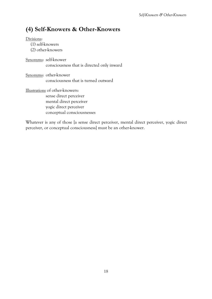# **(4) Self-Knowers & Other-Knowers**

Divisions:

(1) self-knowers

(2) other-knowers

Synonyms: self-knower consciousness that is directed only inward

Synonyms: other-knower consciousness that is turned outward

Illustrations of other-knowers: sense direct perceiver mental direct perceiver yogic direct perceiver conceptual consciousnesses

Whatever is any of those [a sense direct perceiver, mental direct perceiver, yogic direct perceiver, or conceptual consciousness] must be an other-knower.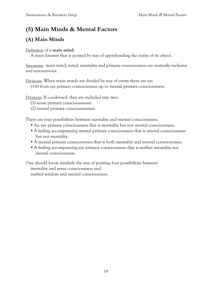# **(5) Main Minds & Mental Factors**

# **(A) Main Minds**

### Definition of a **main mind**:

A main knower that is posited by way of apprehending the entity of its object.

Synonyms: main mind, mind, mentality and primary consciousness are mutually inclusive and synonymous.

Divisions: When main minds are divided by way of entity there are six:

(1-6) from eye primary consciousness up to mental primary consciousness.

Divisions: If condensed, they are included into two:

- (1) sense primary consciousnesses
- (2) mental primary consciousnesses

There are four possibilities between mentality and mental consciousness.

- An eye primary consciousness that is mentality but not mental consciousness.
- A feeling accompanying mental primary consciousness that is mental consciousness but not mentality.
- A mental primary consciousness that is both mentality and mental consciousness.
- A feeling accompanying eye primary consciousness that is neither mentality nor mental consciousness.

One should know similarly the way of positing four possibilities between mentality and sense consciousness and exalted wisdom and mental consciousness.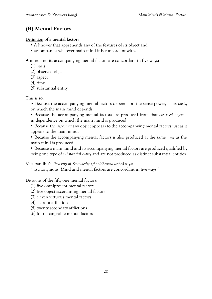# **(B) Mental Factors**

Definition of a **mental factor**:

- A knower that apprehends any of the features of its object and
- accompanies whatever main mind it is concordant with.

A mind and its accompanying mental factors are concordant in five ways:

(1) basis

(2) observed object

- (3) aspect
- (4) time
- (5) substantial entity

This is so:

- Because the accompanying mental factors depends on the sense power, as its *basis*, on which the main mind depends.
- Because the accompanying mental factors are produced from that *observed object* in dependence on which the main mind is produced.
- Because the *aspect* of any object appears to the accompanying mental factors just as it appears to the main mind.
- Because the accompanying mental factors is also produced at the same *time* as the main mind is produced.

 Because a main mind and its accompanying mental factors are produced qualified by being one type of *substantial entity* and are not produced as distinct substantial entities.

Vasubandhu's *Treasury of Knowledge* (*Abhidharmakosha*) says:

"...synonymous. Mind and mental factors are concordant in five ways."

Divisions of the fifty-one mental factors:

- (1) five omnipresent mental factors
- (2) five object ascertaining mental factors
- (3) eleven virtuous mental factors
- (4) six root afflictions
- (5) twenty secondary afflictions
- (6) four changeable mental factors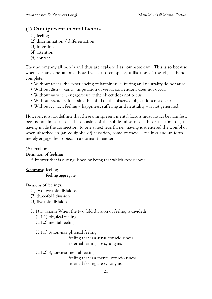## **(1) Omnipresent mental factors**

- (1) feeling
- (2) discrimination / differentiation
- (3) intention
- (4) attention
- (5) contact

They accompany all minds and thus are explained as "omnipresent". This is so because whenever any one among these five is not complete, utilisation of the object is not complete:

- Without *feeling*, the experiencing of happiness, suffering and neutrality do not arise.
- Without *discrimination*, imputation of verbal conventions does not occur.
- Without *intention*, engagement of the object does not occur.
- Without *attention*, focussing the mind on the observed object does not occur.
- Without *contact*, feeling happiness, suffering and neutrality is not generated.

However, it is not definite that these omnipresent mental factors must always be manifest, because at times such as the occasion of the subtle mind of death, or the time of just having made the connection [to one's next rebirth, i.e., having just entered the womb] or when absorbed in [an equipoise of] cessation, some of these – feelings and so forth – merely engage their object in a dormant manner.

(A) Feeling

### Definition of **feeling**:

A knower that is distinguished by being that which experiences.

Synonyms: feeling feeling aggregate

Divisions of feelings:

- (1) two two-fold divisions
- (2) three-fold division
- (3) five-fold division

### (1.1) Divisions: When the two-fold division of feeling is divided:

- (1.1.1) physical feeling
- (1.1.2) mental feeling

#### (1.1.1) Synonyms: physical feeling feeling that is a sense consciousness external feeling are synonyms

### (1.1.2) Synonyms: mental feeling feeling that is a mental consciousness internal feeling are synonyms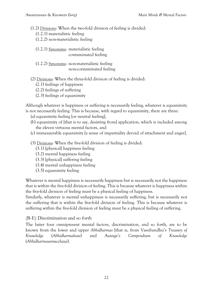(1.2) Divisions: When the two-fold division of feeling is divided:

(1.2.1) materialistic feeling

(1.2.2) non-materialistic feeling

- (1.2.1) Synonyms: materialistic feeling contaminated feeling
- (1.2.2) Synonyms: non-materialistic feeling non-contaminated feeling

(2) Divisions: When the three-fold division of feeling is divided:

- (2.1) feelings of happiness
- (2.2) feelings of suffering
- (2.3) feelings of equanimity

Although whatever is happiness or suffering is necessarily feeling, whatever is equanimity is not necessarily feeling. This is because, with regard to equanimity, there are three:

- (a) equanimity feeling [or neutral feeling],
- (b) equanimity of [that is to say, desisting from] application, which is included among the eleven virtuous mental factors, and
- (c) immeasurable equanimity [a sense of impartiality devoid of attachment and anger].

(3) Divisions: When the five-fold division of feeling is divided:

- (3.1) [physical] happiness feeling
- (3.2) mental happiness feeling
- (3.3) [physical] suffering feeling
- (3.4) mental unhappiness feeling
- (3.5) equanimity feeling

Whatever is mental happiness is necessarily happiness but is necessarily not the happiness that is within the five-fold division of feeling. This is because whatever is happiness within the five-fold division of feeling must be a physical feeling of happiness.

Similarly, whatever is mental unhappiness is necessarily suffering, but is necessarily not the suffering that is within the five-fold division of feeling. This is because whatever is suffering within the five-fold division of feeling must be a physical feeling of suffering.

### (B-E) Discrimination and so forth

The latter four omnipresent mental factors, discrimination, and so forth, are to be known from the lower and upper *Abhidharmas* [that is, from Vasubandhu's *Treasury of Knowledge* (*Abhidharmakosa*) and Asanga's *Compendium of Knowledge* (*Abhidharmasamucchaya*).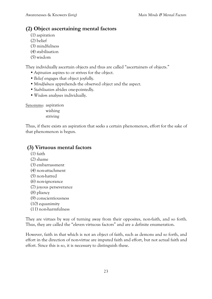### **(2) Object ascertaining mental factors**

- (1) aspiration
- (2) belief
- (3) mindfulness
- (4) stabilisation
- (5) wisdom

They individually ascertain objects and thus are called "ascertainers of objects."

- *Aspiration* aspires to or strives for the object.
- *Belief* engages that object joyfully.
- *Mindfulness* apprehends the observed object and the aspect.
- *Stabilisation* abides one-pointedly.
- *Wisdom* analyses individually.

Synonyms: aspiration wishing striving

Thus, if there exists an aspiration that seeks a certain phenomenon, effort for the sake of that phenomenon is begun.

### **(3) Virtuous mental factors**

- (1) faith
- (2) shame
- (3) embarrassment
- (4) non-attachment
- (5) non-hatred
- (6) non-ignorance
- (7) joyous perseverance
- (8) pliancy
- (9) conscientiousness
- (10) equanimity
- (11) non-harmfulness

They are virtues by way of turning away from their opposites, non-faith, and so forth. Thus, they are called the "eleven virtuous factors" and are a definite enumeration.

However, faith in that which is not an object of faith, such as demons and so forth, and effort in the direction of non-virtue are imputed faith and effort, but not actual faith and effort. Since this is so, it is necessary to distinguish these.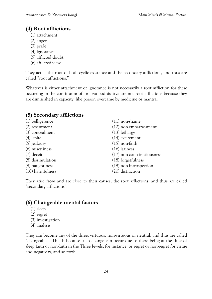## **(4) Root afflictions**

- (1) attachment
- (2) anger
- (3) pride
- (4) ignorance
- (5) afflicted doubt
- (6) afflicted view

They act as the root of both cyclic existence and the secondary afflictions, and thus are called "root afflictions."

Whatever is either attachment or ignorance is not necessarily a root affliction for these occurring in the continuum of an arya bodhisattva are not root afflictions because they are diminished in capacity, like poison overcame by medicine or mantra.

### **(5) Secondary afflictions**

| (1) belligerence  | $(11)$ non-shame           |
|-------------------|----------------------------|
| (2) resentment    | (12) non-embarrassment     |
| (3) concealment   | $(13)$ lethargy            |
| $(4)$ spite       | $(14)$ excitement          |
| $(5)$ jealousy    | $(15)$ non-faith           |
| (6) miserliness   | $(16)$ laziness            |
| $(7)$ deceit      | (17) non-conscientiousness |
| (8) dissimulation | (18) forgetfulness         |
| (9) haughtiness   | $(19)$ non-introspection   |
| (10) harmfulness  | (20) distraction           |

They arise from and are close to their causes, the root afflictions, and thus are called "secondary afflictions".

### **(6) Changeable mental factors**

- (1) sleep
- (2) regret
- (3) investigation
- (4) analysis

They can become any of the three, virtuous, non-virtuous or neutral, and thus are called "changeable". This is because such change can occur due to there being at the time of sleep faith or non-faith in the Three Jewels, for instance; or regret or non-regret for virtue and negativity, and so forth.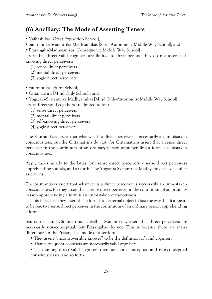# **(6) Ancillary: The Mode of Asserting Tenets**

- Vaibashikas [Great Exposition School],
- Sautrantika-Svatantrika Madhyamikas [Sutra-Autonomist Middle Way School], and
- Prasangika-Madhyamikas [Consequence Middle Way School]

assert that direct valid cognisers are limited to three because they do not assert selfknowing direct perceivers:

- (1) sense direct perceivers
- (2) mental direct perceivers
- (3) yogic direct perceivers
- Sautrantikas [Sutra School],
- Cittamatrins [Mind Only School], and
- Yogacara-Svatantrika Madhyamikas [Mind Only-Autonomist Middle Way School]

assert direct valid cognisers are limited to four:

- (1) sense direct perceivers
- (2) mental direct perceivers
- (3) self-knowing direct perceivers
- (4) yogic direct perceivers

The Sautrantikas assert that whatever is a direct perceiver is necessarily an unmistaken consciousness, but the Cittamatrins do not, for Cittamatrins assert that a sense direct perceiver in the continuum of an ordinary person apprehending a form is a mistaken consciousness.

Apply this similarly to the latter four sense direct perceivers – sense direct perceivers apprehending sounds, and so forth. The Yogacara-Svatantrika Madhyamikas have similar assertions.

The Sautrantikas assert that whatever is a direct perceiver is necessarily an unmistaken consciousness, for they assert that a sense direct perceiver in the continuum of an ordinary person apprehending a form is an unmistaken consciousness.

This is because they assert that a form is an external object in just the way that it appears to be one to a sense direct perceiver in the continuum of an ordinary person apprehending a form.

Sautrantikas and Cittamatrins, as well as Svatantrikas, assert that direct perceivers are necessarily non-conceptual, but Prasangikas do not. This is because there are many differences in the Prasangikas' mode of assertion:

- They assert "incontrovertible knower" to be the definition of valid cogniser.
- That subsequent cognisers are necessarily valid cognisers.
- That among direct valid cognisers there are both conceptual and non-conceptual consciousnesses; and so forth.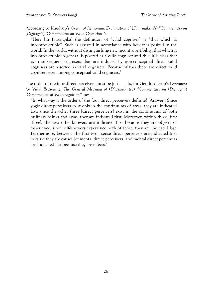According to Khedrup's *Ocean of Reasoning, Explanation of* (*Dharmakirti's*) *"Commentary on* (*Dignaga's*) *'Compendium on Valid Cognition'"*:

"Here [in Prasangika] the definition of "valid cogniser" is "that which is incontrovertible". Such is asserted in accordance with how it is posited in the world. In the world, without distinguishing new incontrovertibility, that which is incontrovertible in general is posited as a valid cogniser and thus it is clear that even subsequent cognisers that are induced by non-conceptual direct valid cognisers are asserted as valid cognisers. Because of this there are direct valid cognisers even among conceptual valid cognisers."

The order of the four direct perceivers must be just as it is, for Gendun Drup's *Ornament for Valid Reasoning*: *The General Meaning of* (*Dharmakirti's*) *"Commentary on* (*Dignaga's*) *'Compendium of Valid cognition'"* says,

"In what way is the order of the four direct perceivers definite? [Answer]: Since yogic direct perceivers exist only in the continuums of aryas, they are indicated last; since the other three [direct perceivers] exist in the continuums of both ordinary beings and aryas, they are indicated first. Moreover, within those [first three], the two other-knowers are indicated first because they are objects of experience; since self-knowers experience both of those, they are indicated last. Furthermore, between [the first two], sense direct perceivers are indicated first because they are causes [of mental direct perceivers] and mental direct perceivers are indicated last because they are effects."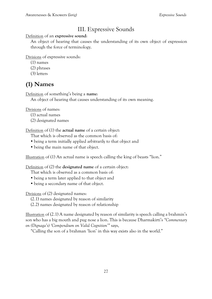# III. Expressive Sounds

Definition of an **expressive sound**:

An object of hearing that causes the understanding of its own object of expression through the force of terminology.

Divisions of expressive sounds:

- (1) names
- (2) phrases
- (3) letters

# **(1) Names**

Definition of something's being a **name**:

An object of hearing that causes understanding of its own meaning.

Divisions of names:

- (1) actual names
- (2) designated names

Definition of (1) the **actual name** of a certain object:

- That which is observed as the common basis of:
- being a term initially applied arbitrarily to that object and
- being the main name of that object.

Illustration of (1) An actual name is speech calling the king of beasts "lion."

Definition of (2) the **designated name** of a certain object:

That which is observed as a common basis of:

- being a term later applied to that object and
- being a secondary name of that object.

Divisions of (2) designated names:

(2.1) names designated by reason of similarity

(2.2) names designated by reason of relationship

Illustration of (2.1) A name designated by reason of similarity is speech calling a brahmin's son who has a big mouth and pug nose a lion. This is because Dharmakirti's *"Commentary on (Dignaga's) 'Compendium on Valid Cognition'"* says,

"Calling the son of a brahman 'lion' in this way exists also in the world."